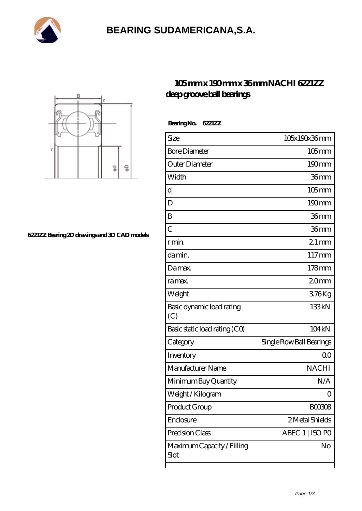

# **[BEARING SUDAMERICANA,S.A.](https://balticcareerdays.com)**



#### **[6221ZZ Bearing 2D drawings and 3D CAD models](https://balticcareerdays.com/pic-535042.html)**

### **[105 mm x 190 mm x 36 mm NACHI 6221ZZ](https://balticcareerdays.com/nachi-6221zz-bearing/) [deep groove ball bearings](https://balticcareerdays.com/nachi-6221zz-bearing/)**

 **Bearing No. 6221ZZ**

| Size                               | 105x190x36mm             |
|------------------------------------|--------------------------|
| <b>Bore Diameter</b>               | $105$ mm                 |
| Outer Diameter                     | $190 \text{mm}$          |
| Width                              | 36mm                     |
| d                                  | $105$ mm                 |
| D                                  | 190mm                    |
| B                                  | 36mm                     |
| $\overline{C}$                     | 36mm                     |
| r min.                             | $21$ mm                  |
| da min.                            | $117 \text{mm}$          |
| Damax.                             | $178$ mm                 |
| ra max.                            | 20 <sub>mm</sub>         |
| Weight                             | 376Kg                    |
| Basic dynamic load rating<br>(C)   | 133kN                    |
| Basic static load rating (CO)      | 104kN                    |
| Category                           | Single Row Ball Bearings |
| Inventory                          | Q0                       |
| Manufacturer Name                  | <b>NACHI</b>             |
| Minimum Buy Quantity               | N/A                      |
| Weight / Kilogram                  | 0                        |
| Product Group                      | BOO3O8                   |
| Enclosure                          | 2 Metal Shields          |
| Precision Class                    | ABEC 1   ISO PO          |
| Maximum Capacity / Filling<br>Slot | No                       |
|                                    |                          |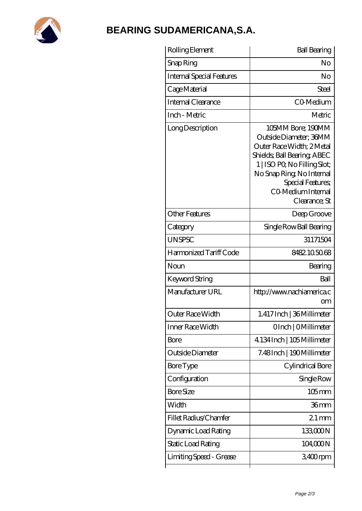

## **[BEARING SUDAMERICANA,S.A.](https://balticcareerdays.com)**

| Rolling Element           | <b>Ball Bearing</b>                                                                                                                                                                                                             |
|---------------------------|---------------------------------------------------------------------------------------------------------------------------------------------------------------------------------------------------------------------------------|
| Snap Ring                 | No                                                                                                                                                                                                                              |
| Internal Special Features | No                                                                                                                                                                                                                              |
| Cage Material             | Steel                                                                                                                                                                                                                           |
| Internal Clearance        | CO-Medium                                                                                                                                                                                                                       |
| Inch - Metric             | Metric                                                                                                                                                                                                                          |
| Long Description          | 105MM Bore; 190MM<br>Outside Diameter; 36MM<br>Outer Race Width; 2Metal<br>Shields; Ball Bearing; ABEC<br>1   ISO PO, No Filling Slot;<br>No Snap Ring, No Internal<br>Special Features;<br>CO Medium Internal<br>Clearance; St |
| <b>Other Features</b>     | Deep Groove                                                                                                                                                                                                                     |
| Category                  | Single Row Ball Bearing                                                                                                                                                                                                         |
| <b>UNSPSC</b>             | 31171504                                                                                                                                                                                                                        |
| Harmonized Tariff Code    | 8482105068                                                                                                                                                                                                                      |
| Noun                      | Bearing                                                                                                                                                                                                                         |
| Keyword String            | Ball                                                                                                                                                                                                                            |
| Manufacturer URL          | http://www.nachiamerica.c<br>om                                                                                                                                                                                                 |
| Outer Race Width          | 1.417 Inch   36 Millimeter                                                                                                                                                                                                      |
| Inner Race Width          | OInch   OMillimeter                                                                                                                                                                                                             |
| Bore                      | 4.134 Inch   105 Millimeter                                                                                                                                                                                                     |
| Outside Diameter          | 7.48Inch   190Millimeter                                                                                                                                                                                                        |
| Bore Type                 | Cylindrical Bore                                                                                                                                                                                                                |
| Configuration             | Single Row                                                                                                                                                                                                                      |
| <b>Bore Size</b>          | $105$ mm                                                                                                                                                                                                                        |
| Width                     | 36mm                                                                                                                                                                                                                            |
| Fillet Radius/Chamfer     | $21 \,\mathrm{mm}$                                                                                                                                                                                                              |
| Dynamic Load Rating       | 133,000N                                                                                                                                                                                                                        |
| Static Load Rating        | 104,000N                                                                                                                                                                                                                        |
| Limiting Speed - Grease   | 3,400rpm                                                                                                                                                                                                                        |
|                           |                                                                                                                                                                                                                                 |